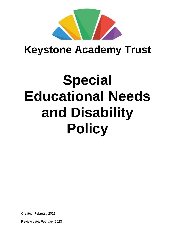

# **Keystone Academy Trust**

# **Special Educational Needs and Disability Policy**

Created: February 2021

Review date: February 2023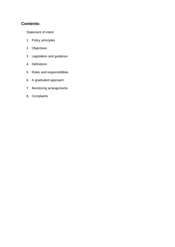# **Contents:**

Statement of intent

- 1. Policy principles
- 2. Objectives
- 3. Legislation and guidance
- 4. Definitions
- 5. Roles and responsibilities
- 6. A graduated approach
- 7. Monitoring arrangements
- 8. Complaints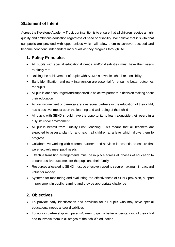# **Statement of Intent**

Across the Keystone Academy Trust, our intention is to ensure that all children receive a highquality and ambitious education regardless of need or disability. We believe that it is vital that our pupils are provided with opportunities which will allow them to achieve, succeed and become confident, independent individuals as they progress through life.

# **1. Policy Principles**

- All pupils with special educational needs and/or disabilities must have their needs routinely met
- Raising the achievement of pupils with SEND is a whole school responsibility
- Early identification and early intervention are essential for ensuring better outcomes for pupils
- All pupils are encouraged and supported to be active partners in decision making about their education
- Active involvement of parents/carers as equal partners in the education of their child, has a positive impact upon the learning and well-being of their child
- All pupils with SEND should have the opportunity to learn alongside their peers in a fully inclusive environment
- All pupils benefit from 'Quality First Teaching'. This means that all teachers are expected to assess, plan for and teach all children at a level which allows them to progress
- Collaborative working with external partners and services is essential to ensure that we effectively meet pupil needs
- Effective transition arrangements must be in place across all phases of education to ensure positive outcomes for the pupil and their family
- Resources allocated to SEND must be effectively used to secure maximum impact and value for money
- Systems for monitoring and evaluating the effectiveness of SEND provision, support improvement in pupil's learning and provide appropriate challenge

# **2. Objectives**

- To provide early identification and provision for all pupils who may have special educational needs and/or disabilities
- To work in partnership with parents/carers to gain a better understanding of their child and to involve them in all stages of their child's education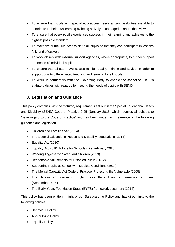- To ensure that pupils with special educational needs and/or disabilities are able to contribute to their own learning by being actively encouraged to share their views
- To ensure that every pupil experiences success in their learning and achieves to the highest possible standard
- To make the curriculum accessible to all pupils so that they can participate in lessons fully and effectively
- To work closely with external support agencies, where appropriate, to further support the needs of individual pupils
- To ensure that all staff have access to high quality training and advice, in order to support quality differentiated teaching and learning for all pupils
- To work in partnership with the Governing Body to enable the school to fulfil it's statutory duties with regards to meeting the needs of pupils with SEND

# **3. Legislation and Guidance**

This policy complies with the statutory requirements set out in the Special Educational Needs and Disability (SEND) Code of Practice 0-25 (January 2015) which requires all schools to 'have regard to the Code of Practice' and has been written with reference to the following guidance and legislation:

- Children and Families Act (2014)
- The Special Educational Needs and Disability Regulations (2014)
- Equality Act (2010)
- Equality Act 2010: Advice for Schools (Dfe February 2013)
- Working Together to Safeguard Children (2013)
- Reasonable Adjustments for Disabled Pupils (2012)
- Supporting Pupils at School with Medical Conditions (2014)
- The Mental Capacity Act Code of Practice: Protecting the Vulnerable (2005)
- The National Curriculum in England Key Stage 1 and 2 framework document (September 2014)
- The Early Years Foundation Stage (EYFS) framework document (2014)

This policy has been written in light of our Safeguarding Policy and has direct links to the following policies:

- Behaviour Policy
- Anti-bullying Policy
- Equality Policy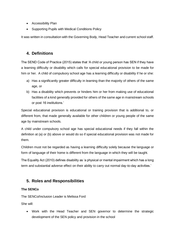- Accessibility Plan
- Supporting Pupils with Medical Conditions Policy

It was written in consultation with the Governing Body, Head Teacher and current school staff.

# **4. Definitions**

The SEND Code of Practice (2015) states that 'A child or young person has SEN if they have a learning difficulty or disability which calls for special educational provision to be made for him or her. A child of compulsory school age has a learning difficulty or disability if he or she:

- a) Has a significantly greater difficulty in learning than the majority of others of the same age, or
- b) Has a disability which prevents or hinders him or her from making use of educational facilities of a kind generally provided for others of the same age in mainstream schools or post 16 institutions.'

Special educational provision is educational or training provision that is additional to, or different from, that made generally available for other children or young people of the same age by mainstream schools.

A child under compulsory school age has special educational needs if they fall within the definition at (a) or (b) above or would do so if special educational provision was not made for them.

Children must not be regarded as having a learning difficulty solely because the language or form of language of their home is different from the language in which they will be taught.

The Equality Act (2010) defines disability as 'a physical or mental impairment which has a long term and substantial adverse effect on their ability to carry out normal day-to-day activities.'

# **5. Roles and Responsibilities**

#### **The SENCo**

The SENCo/Inclusion Leader is Melissa Ford

She will:

• Work with the Head Teacher and SEN governor to determine the strategic development of the SEN policy and provision in the school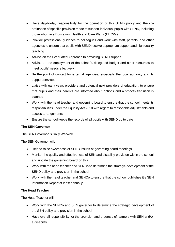- Have day-to-day responsibility for the operation of this SEND policy and the coordination of specific provision made to support individual pupils with SEND, including those who have Education, Health and Care Plans (EHCPs)
- Provide professional guidance to colleagues and work with staff, parents, and other agencies to ensure that pupils with SEND receive appropriate support and high quality teaching
- Advise on the Graduated Approach to providing SEND support
- Advise on the deployment of the school's delegated budget and other resources to meet pupils' needs effectively
- Be the point of contact for external agencies, especially the local authority and its support services
- Liaise with early years providers and potential next providers of education, to ensure that pupils and their parents are informed about options and a smooth transition is planned
- Work with the head teacher and governing board to ensure that the school meets its responsibilities under the Equality Act 2010 with regard to reasonable adjustments and access arrangements
- Ensure the school keeps the records of all pupils with SEND up to date

#### **The SEN Governor**

The SEN Governor is Sally Warwick

The SEN Governor will:

- Help to raise awareness of SEND issues at governing board meetings
- Monitor the quality and effectiveness of SEN and disability provision within the school and update the governing board on this
- Work with the head teacher and SENCo to determine the strategic development of the SEND policy and provision in the school
- Work with the head teacher and SENCo to ensure that the school publishes it's SEN Information Report at least annually

#### **The Head Teacher**

The Head Teacher will:

- Work with the SENCo and SEN governor to determine the strategic development of the SEN policy and provision in the school
- Have overall responsibility for the provision and progress of learners with SEN and/or a disability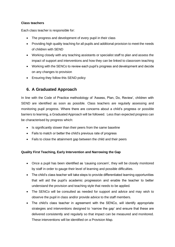#### **Class teachers**

Each class teacher is responsible for:

- The progress and development of every pupil in their class
- Providing high quality teaching for all pupils and additional provision to meet the needs of children with SEND
- Working closely with any teaching assistants or specialist staff to plan and assess the impact of support and interventions and how they can be linked to classroom teaching
- Working with the SENCo to review each pupil's progress and development and decide on any changes to provision
- Ensuring they follow this SEND policy

### **6. A Graduated Approach**

In line with the Code of Practice methodology of 'Assess, Plan, Do, Review', children with SEND are identified as soon as possible. Class teachers are regularly assessing and monitoring pupil progress. Where there are concerns about a child's progress or possible barriers to learning, a Graduated Approach will be followed. Less than expected progress can be characterised by progress which:

- Is significantly slower than their peers from the same baseline
- Fails to match or better the child's previous rate of progress
- Fails to close the attainment gap between the child and their peers

#### **Quality First Teaching, Early Intervention and Narrowing the Gap**

- Once a pupil has been identified as 'causing concern', they will be closely monitored by staff in order to gauge their level of learning and possible difficulties.
- The child's class teacher will take steps to provide differentiated learning opportunities that will aid the pupil's academic progression and enable the teacher to better understand the provision and teaching style that needs to be applied.
- The SENCo will be consulted as needed for support and advice and may wish to observe the pupil in class and/or provide advice to the staff members.
- The child's class teacher in agreement with the SENCo, will identify appropriate strategies and interventions designed to 'narrow the gap' and ensure that these are delivered consistently and regularly so that impact can be measured and monitored. These interventions will be identified on a Provision Map.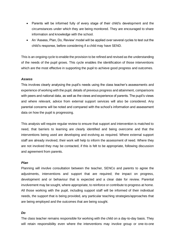- Parents will be informed fully of every stage of their child's development and the circumstances under which they are being monitored. They are encouraged to share information and knowledge with the school.
- An 'Assess, Plan, Do, Review' model will be applied over several cycles to test out the child's response, before considering if a child may have SEND.

This is an ongoing cycle to enable the provision to be refined and revised as the understanding of the needs of the pupil grows. This cycle enables the identification of those interventions which are the most effective in supporting the pupil to achieve good progress and outcomes.

#### *Assess*

This involves clearly analysing the pupil's needs using the class teacher's assessments and experience of working with the pupil, details of previous progress and attainment, comparisons with peers and national data, as well as the views and experience of parents. The pupil's views and where relevant, advice from external support services will also be considered. Any parental concerns will be noted and compared with the school's information and assessment data on how the pupil is progressing.

This analysis will require regular review to ensure that support and intervention is matched to need, that barriers to learning are clearly identified and being overcome and that the interventions being used are developing and evolving as required. Where external support staff are already involved, their work will help to inform the assessment of need. Where they are not involved they may be contacted, if this is felt to be appropriate, following discussion and agreement from parents.

#### *Plan*

Planning will involve consultation between the teacher, SENCo and parents to agree the adjustments, interventions and support that are required; the impact on progress, development and or behaviour that is expected and a clear date for review. Parental involvement may be sought, where appropriate, to reinforce or contribute to progress at home. All those working with the pupil, including support staff will be informed of their individual needs, the support that is being provided, any particular teaching strategies/approaches that are being employed and the outcomes that are being sought.

#### *Do*

The class teacher remains responsible for working with the child on a day-to-day basis. They will retain responsibility even where the interventions may involve group or one-to-one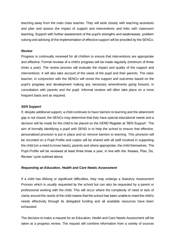teaching away from the main class teacher. They will work closely with teaching assistants and plan and assess the impact of support and interventions and links with classroom teaching. Support with further assessment of the pupil's strengths and weaknesses, problem solving and advising of the implementation of effective support will be provided by the SENCo.

#### *Review*

Progress is continually reviewed for all children to ensure that interventions are appropriate and effective. Formal reviews of a child's progress will be made regularly (minimum of three times a year). The review process will evaluate the impact and quality of the support and interventions. It will also take account of the views of the pupil and their parents. The class teacher, in conjunction with the SENCo will revise the support and outcomes based on the pupil's progress and development making any necessary amendments going forward, in consultation with parents and the pupil. Informal reviews will often take place on a more frequent basis and as required.

#### *SEN Support*

If, despite additional support, a child continues to have barriers to learning and the attainment gap is not closed, the SENCo may determine that they have special educational needs and a decision will be made for the child to be placed on the SEND Register at 'SEN Support'. The aim of formally identifying a pupil with SEND is to help the school to ensure that effective, personalised provision is put in place and so remove barriers to learning. This provision will be recorded on a Pupil Profile and copies will be shared with all staff involved in supporting the child (on a need to know basis), parents and where appropriate, the child themselves. The Pupil Profile will be reviewed at least three times a year, in line with the 'Assess, Plan, Do, Review' cycle outlined above.

#### *Requesting an Education, Health and Care Needs Assessment*

If a child has lifelong or significant difficulties, they may undergo a Statutory Assessment Process which is usually requested by the school but can also be requested by a parent or professional working with the child. This will occur where the complexity of need or lack of clarity around the needs of the child means that the school has been unable to meet the child's needs effectively through its delegated funding and all available resources have been exhausted.

The decision to make a request for an Education, Health and Care Needs Assessment will be taken at a progress review. The request will combine information from a variety of sources